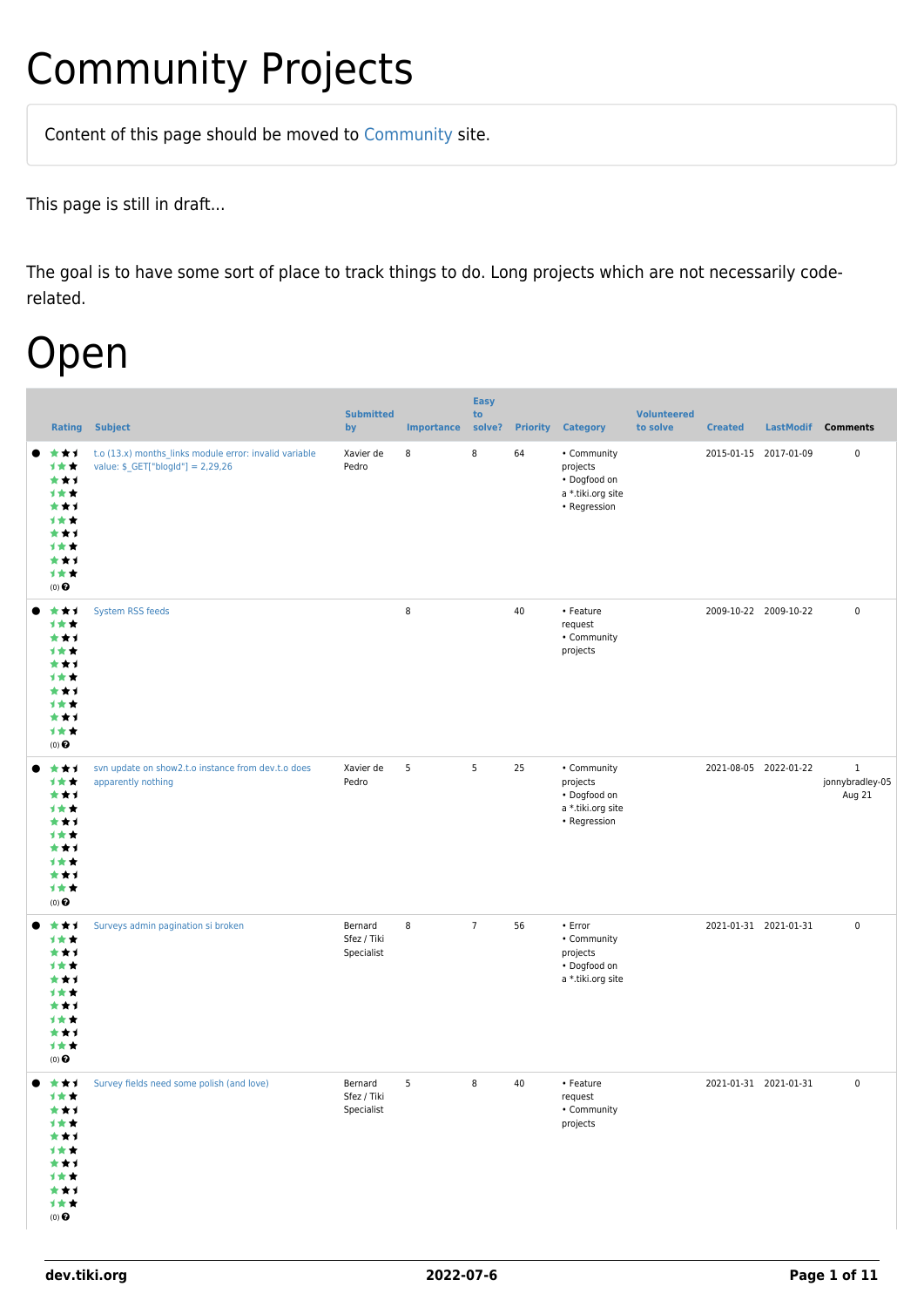## Community Projects

Content of this page should be [moved](https://dev.tiki.org/tiki-editpage.php?page=moved) to [Community](http://tiki.org/Community) site.

This page is still in draft...

The goal is to have some sort of place to track things to do. Long projects which are not necessarily coderelated.

### Open

|                                                                                               | <b>Rating Subject</b>                                                                                     | <b>Submitted</b><br>by               | <b>Importance</b> | <b>Easy</b><br>to<br>solve? | <b>Priority</b> | <b>Category</b>                                                              | <b>Volunteered</b><br>to solve | <b>Created</b>        | LastModif Comments                        |
|-----------------------------------------------------------------------------------------------|-----------------------------------------------------------------------------------------------------------|--------------------------------------|-------------------|-----------------------------|-----------------|------------------------------------------------------------------------------|--------------------------------|-----------------------|-------------------------------------------|
| ***<br>计女女<br>***<br>计女女<br>***<br>计女女<br>***<br>计女女<br>***<br>计女女<br>$(0)$ $\Theta$          | t.o (13.x) months_links module error: invalid variable<br>value: $$$ <sub>-</sub> GET["blogId"] = 2,29,26 | Xavier de<br>Pedro                   | 8                 | 8                           | 64              | • Community<br>projects<br>• Dogfood on<br>a *.tiki.org site<br>• Regression |                                | 2015-01-15 2017-01-09 | $\pmb{0}$                                 |
| ***<br>计女女<br>***<br>计女女<br>***<br>计女女<br>***<br>计女女<br>***<br>计女女<br>$(0)$ $\Theta$          | System RSS feeds                                                                                          |                                      | 8                 |                             | 40              | • Feature<br>request<br>• Community<br>projects                              |                                | 2009-10-22 2009-10-22 | $\mathsf 0$                               |
| ***<br>计女女<br>***<br>计女女<br>***<br>计女女<br>***<br>计女女<br>***<br>计女女<br>(0)                     | svn update on show2.t.o instance from dev.t.o does<br>apparently nothing                                  | Xavier de<br>Pedro                   | 5                 | 5                           | 25              | • Community<br>projects<br>• Dogfood on<br>a *.tiki.org site<br>• Regression |                                | 2021-08-05 2022-01-22 | $\mathbf{1}$<br>jonnybradley-05<br>Aug 21 |
| ***<br>计女女<br>***<br>计女女<br>***<br>计女女<br>***<br>计女女<br>***<br>计女女<br>$(0)$ $\Theta$          | Surveys admin pagination si broken                                                                        | Bernard<br>Sfez / Tiki<br>Specialist | 8                 | $7\overline{ }$             | 56              | • Error<br>• Community<br>projects<br>• Dogfood on<br>a *.tiki.org site      |                                | 2021-01-31 2021-01-31 | $\pmb{0}$                                 |
| ***<br>计女女<br>***<br>计女女<br>***<br>计女女<br>***<br>计女女<br>***<br>计女女<br>$(0)$<br>$\pmb{\Theta}$ | Survey fields need some polish (and love)                                                                 | Bernard<br>Sfez / Tiki<br>Specialist | 5                 | 8                           | 40              | • Feature<br>request<br>• Community<br>projects                              |                                | 2021-01-31 2021-01-31 | $\mathbf 0$                               |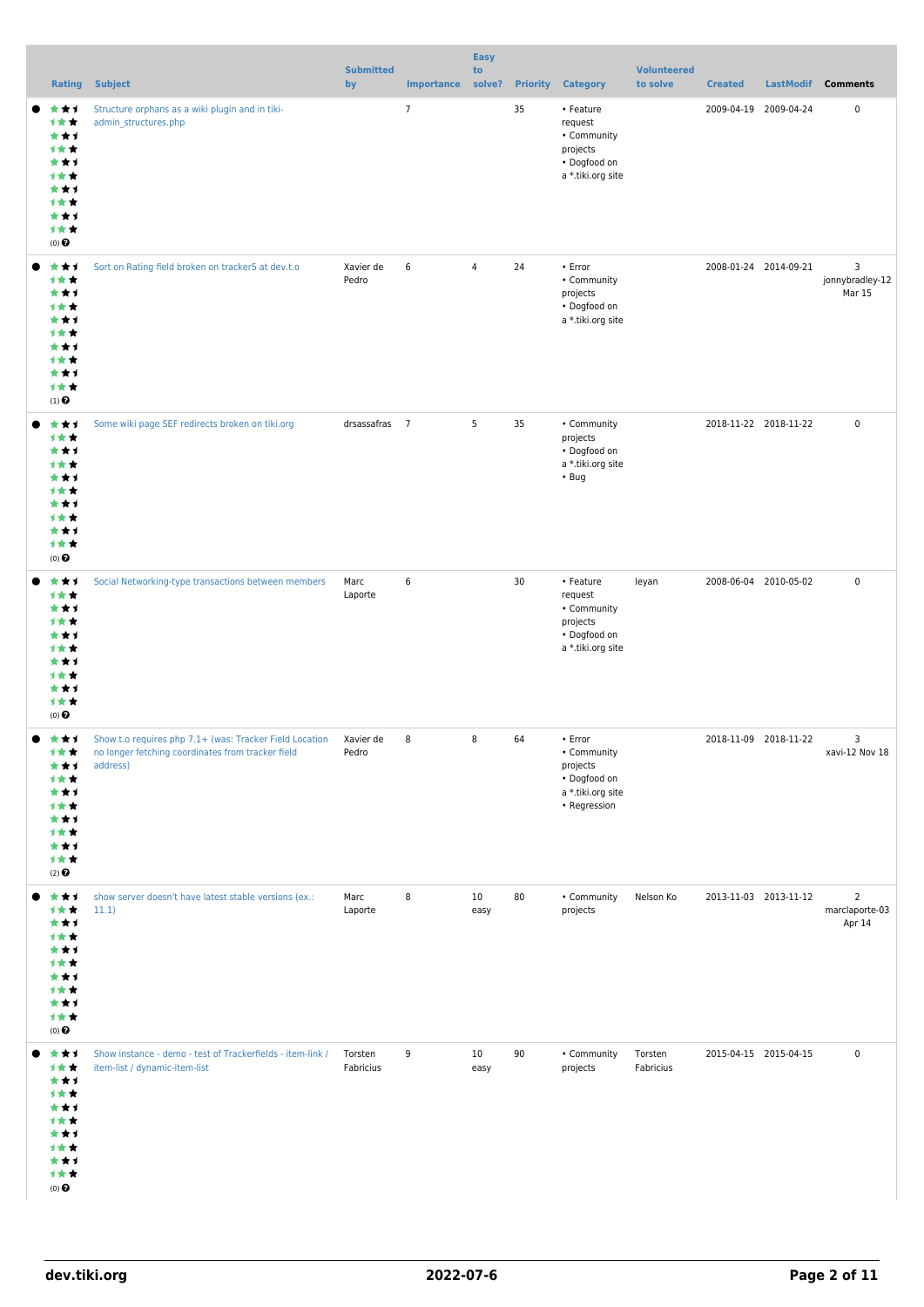|                                                                                                           |                                                                                                                          |                        |                   | <b>Easy</b>    |                 |                                                                                         |                                |                       |                       |                                            |
|-----------------------------------------------------------------------------------------------------------|--------------------------------------------------------------------------------------------------------------------------|------------------------|-------------------|----------------|-----------------|-----------------------------------------------------------------------------------------|--------------------------------|-----------------------|-----------------------|--------------------------------------------|
|                                                                                                           | <b>Rating Subject</b>                                                                                                    | <b>Submitted</b><br>by | Importance solve? | to             | <b>Priority</b> | <b>Category</b>                                                                         | <b>Volunteered</b><br>to solve | <b>Created</b>        | LastModif             | <b>Comments</b>                            |
| ***<br>计女女<br>***<br>计女女<br>***<br>1 * *<br>***<br>计女女<br>***<br>计女女<br>(0)                               | Structure orphans as a wiki plugin and in tiki-<br>admin_structures.php                                                  |                        | $\overline{7}$    |                | 35              | • Feature<br>request<br>• Community<br>projects<br>• Dogfood on<br>a *.tiki.org site    |                                | 2009-04-19 2009-04-24 |                       | 0                                          |
| ***<br>计女女<br>***<br>计女女<br>***<br>计女女<br>***<br>计女女<br>***<br>计女女<br>$(1)$ <sup><math>\odot</math></sup> | Sort on Rating field broken on tracker5 at dev.t.o                                                                       | Xavier de<br>Pedro     | 6                 | $\overline{4}$ | 24              | • Error<br>• Community<br>projects<br>• Dogfood on<br>a *.tiki.org site                 |                                | 2008-01-24 2014-09-21 |                       | 3<br>jonnybradley-12<br>Mar 15             |
| ***<br>计女女<br>***<br>1 * *<br>***<br>计女女<br>***<br>计女女<br>***<br>计女女<br>(0)                               | Some wiki page SEF redirects broken on tiki.org                                                                          | drsassafras 7          |                   | 5              | 35              | • Community<br>projects<br>• Dogfood on<br>a *.tiki.org site<br>$\cdot$ Bug             |                                | 2018-11-22 2018-11-22 |                       | $\pmb{0}$                                  |
| ***<br>计女女<br>***<br>计女女<br>***<br>计女女<br>***<br>计女女<br>***<br>计女女<br>$(0)$ $\Theta$                      | Social Networking-type transactions between members                                                                      | Marc<br>Laporte        | 6                 |                | 30              | • Feature<br>request<br>• Community<br>projects<br>• Dogfood on<br>a *.tiki.org site    | leyan                          |                       | 2008-06-04 2010-05-02 | $\pmb{0}$                                  |
| 大大士<br>计女女<br>***<br>计女女<br>***<br>计女女<br>***<br>计女女<br>***<br>计女女<br>$(2)$ <sup>O</sup>                  | Show.t.o requires php 7.1+ (was: Tracker Field Location<br>no longer fetching coordinates from tracker field<br>address) | Xavier de<br>Pedro     | 8                 | 8              | 64              | • Error<br>• Community<br>projects<br>• Dogfood on<br>a *.tiki.org site<br>• Regression |                                | 2018-11-09 2018-11-22 |                       | 3<br>xavi-12 Nov 18                        |
| ***<br>计女女<br>***<br>计女女<br>***<br>计女女<br>***<br>计女女<br>***<br>计女女<br>$(0)$ $\odot$                       | show server doesn't have latest stable versions (ex.:<br>11.1)                                                           | Marc<br>Laporte        | 8                 | 10<br>easy     | 80              | • Community<br>projects                                                                 | Nelson Ko                      | 2013-11-03 2013-11-12 |                       | $\overline{2}$<br>marclaporte-03<br>Apr 14 |
| ***<br>计女女<br>***<br>计女女<br>***<br>计女女<br>***<br>计女女<br>***<br>计女女<br>$(0)$ $\odot$                       | Show instance - demo - test of Trackerfields - item-link /<br>item-list / dynamic-item-list                              | Torsten<br>Fabricius   | 9                 | 10<br>easy     | 90              | • Community<br>projects                                                                 | Torsten<br>Fabricius           |                       | 2015-04-15 2015-04-15 | 0                                          |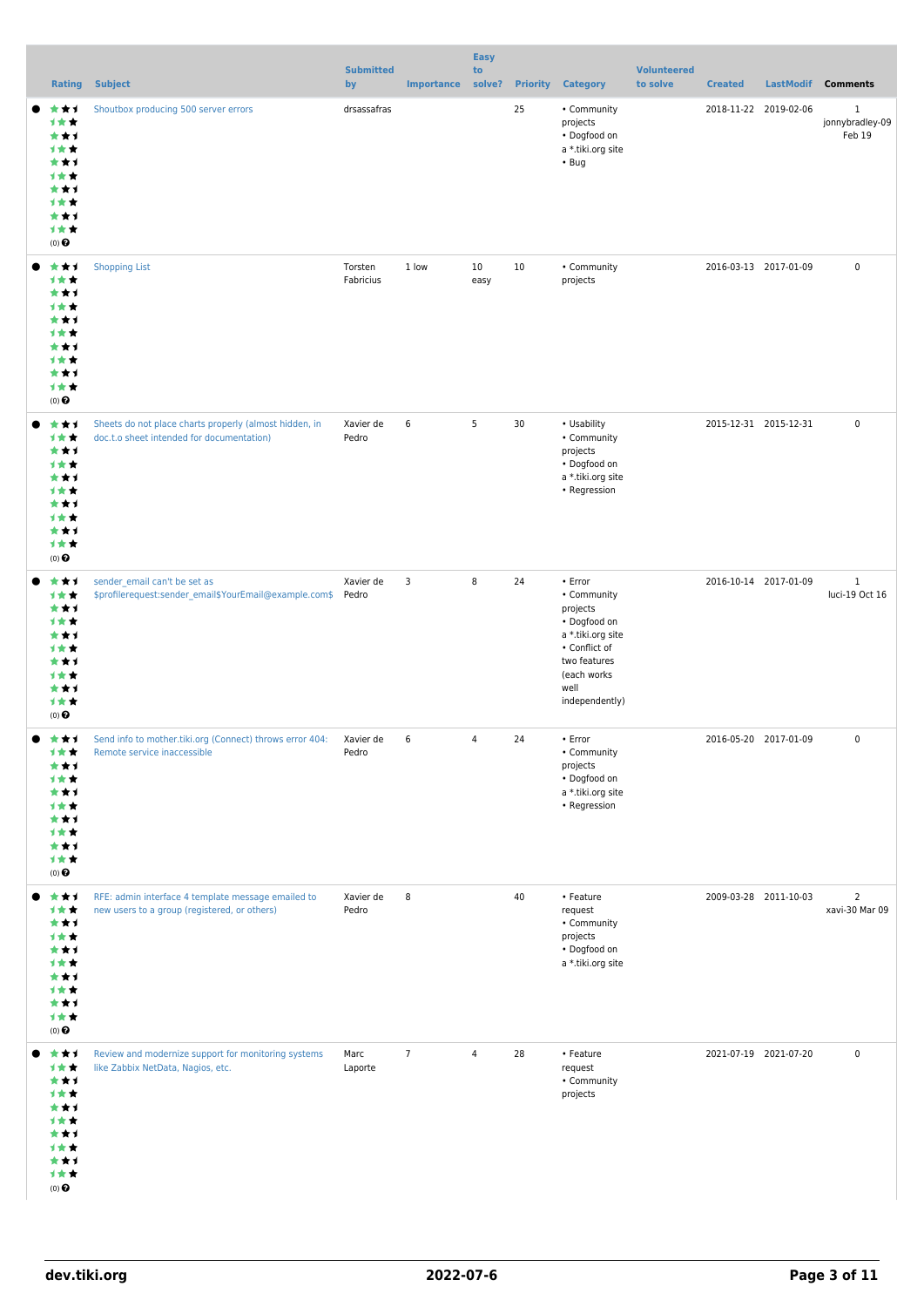|                                                                                                 |                                                                                                     |                        |                   | <b>Easy</b>    |                 |                                                                                                                                                   |                                |                       |                                    |
|-------------------------------------------------------------------------------------------------|-----------------------------------------------------------------------------------------------------|------------------------|-------------------|----------------|-----------------|---------------------------------------------------------------------------------------------------------------------------------------------------|--------------------------------|-----------------------|------------------------------------|
|                                                                                                 | <b>Rating Subject</b>                                                                               | <b>Submitted</b><br>by | <b>Importance</b> | to<br>solve?   | <b>Priority</b> | <b>Category</b>                                                                                                                                   | <b>Volunteered</b><br>to solve | <b>Created</b>        | LastModif Comments                 |
| ***<br>计女女<br>***<br>计女女<br>***<br>计女女<br>***<br>计女女<br>***<br>计女女<br>$(0)$ $\odot$             | Shoutbox producing 500 server errors                                                                | drsassafras            |                   |                | 25              | • Community<br>projects<br>• Dogfood on<br>a *.tiki.org site<br>$\cdot$ Bug                                                                       |                                | 2018-11-22 2019-02-06 | $\,1$<br>jonnybradley-09<br>Feb 19 |
| ***<br>计女女<br>***<br>计女女<br>***<br>计女女<br>***<br>计女女<br>***<br>计女女<br>$(0)$ $\odot$             | <b>Shopping List</b>                                                                                | Torsten<br>Fabricius   | 1 low             | 10<br>easy     | 10              | • Community<br>projects                                                                                                                           |                                | 2016-03-13 2017-01-09 | $\pmb{0}$                          |
| ***<br>计女女<br>***<br>1 * *<br>***<br>计女女<br>***<br>计女女<br>***<br>计女女<br>$(0)$ $\odot$           | Sheets do not place charts properly (almost hidden, in<br>doc.t.o sheet intended for documentation) | Xavier de<br>Pedro     | 6                 | 5              | 30              | • Usability<br>• Community<br>projects<br>• Dogfood on<br>a *.tiki.org site<br>• Regression                                                       |                                | 2015-12-31 2015-12-31 | $\pmb{0}$                          |
| ***<br>计女女<br>***<br>计女女<br>***<br>1**<br>***<br>计女女<br>***<br>计女女<br>$(0)$ $\odot$             | sender_email can't be set as<br>\$profilerequest:sender_email\$YourEmail@example.com\$ Pedro        | Xavier de              | 3                 | 8              | 24              | • Error<br>• Community<br>projects<br>• Dogfood on<br>a *.tiki.org site<br>• Conflict of<br>two features<br>(each works<br>well<br>independently) |                                | 2016-10-14 2017-01-09 | $\mathbf{1}$<br>luci-19 Oct 16     |
| 大大士<br>计女女<br>***<br>1**<br>***<br>计女女<br>***<br>计女女<br>***<br>计女女<br>$(0)$ $\odot$             | Send info to mother.tiki.org (Connect) throws error 404:<br>Remote service inaccessible             | Xavier de<br>Pedro     | 6                 | 4              | 24              | • Error<br>• Community<br>projects<br>• Dogfood on<br>a *.tiki.org site<br>• Regression                                                           |                                | 2016-05-20 2017-01-09 | $\pmb{0}$                          |
| 大大士<br>计女女<br>***<br>计女女<br>***<br>计女女<br>***<br>计女女<br>***<br>计女女<br>$(0)$ $\odot$             | RFE: admin interface 4 template message emailed to<br>new users to a group (registered, or others)  | Xavier de<br>Pedro     | 8                 |                | 40              | • Feature<br>request<br>• Community<br>projects<br>• Dogfood on<br>a *.tiki.org site                                                              |                                | 2009-03-28 2011-10-03 | $\overline{2}$<br>xavi-30 Mar 09   |
| ***<br>计女女<br>***<br>计女女<br>***<br>1 * *<br>***<br>计女女<br>***<br>计女女<br>$(0)$<br>$\pmb{\Theta}$ | Review and modernize support for monitoring systems<br>like Zabbix NetData, Nagios, etc.            | Marc<br>Laporte        | $\overline{7}$    | $\overline{4}$ | 28              | • Feature<br>request<br>• Community<br>projects                                                                                                   |                                | 2021-07-19 2021-07-20 | $\mathbf 0$                        |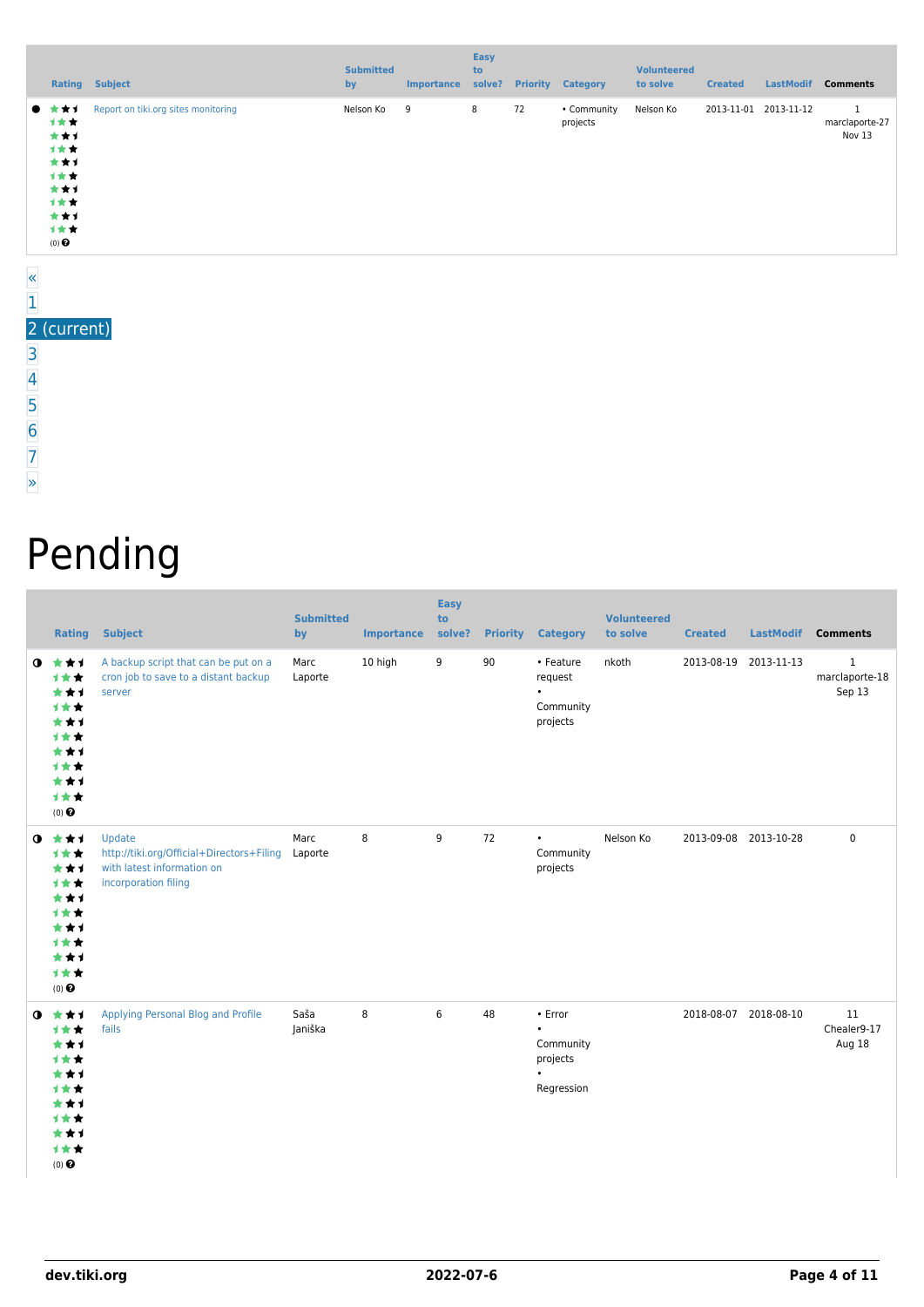|                         |                                                                                     | <b>Rating Subject</b>               | <b>Submitted</b><br>by | Importance | Easy<br>to<br>solve? |    | <b>Priority Category</b> | <b>Volunteered</b><br>to solve | <b>Created</b> | <b>LastModif</b>      | <b>Comments</b>                          |
|-------------------------|-------------------------------------------------------------------------------------|-------------------------------------|------------------------|------------|----------------------|----|--------------------------|--------------------------------|----------------|-----------------------|------------------------------------------|
| $\overline{\mathbf{K}}$ | *1.<br>计女女<br>***<br>计女女<br>***<br>计女女<br>***<br>计女女<br>***<br>计女女<br>$(0)$ $\odot$ | Report on tiki.org sites monitoring | Nelson Ko              | 9          | 8                    | 72 | • Community<br>projects  | Nelson Ko                      |                | 2013-11-01 2013-11-12 | $\mathbf{1}$<br>marclaporte-27<br>Nov 13 |

#### [1](https://dev.tiki.org/tiki-print.php?tr_sort_mode1=f_26_desc&page=Community+Projects&tr_offset1=0) 2 (current) [3](https://dev.tiki.org/tiki-print.php?tr_sort_mode1=f_26_desc&page=Community+Projects&tr_offset1=40)

[»](https://dev.tiki.org/tiki-print.php?tr_sort_mode1=f_26_desc&page=Community+Projects&tr_offset1=40)

# Pending

|             |                                                                                                       | <b>Rating Subject</b>                                                                                     | <b>Submitted</b><br>by | <b>Importance</b> | <b>Easy</b><br>to<br>solve? |    | <b>Priority Category</b>                                    | <b>Volunteered</b><br>to solve | <b>Created</b>        | <b>LastModif</b> | <b>Comments</b>                         |
|-------------|-------------------------------------------------------------------------------------------------------|-----------------------------------------------------------------------------------------------------------|------------------------|-------------------|-----------------------------|----|-------------------------------------------------------------|--------------------------------|-----------------------|------------------|-----------------------------------------|
| $\mathbf o$ | ***<br><b>1**</b><br>***<br>1★★<br>***<br>1★★<br>***<br>***<br>***<br>***<br>$(0)$ $\odot$            | A backup script that can be put on a<br>cron job to save to a distant backup<br>server                    | Marc<br>Laporte        | 10 high           | 9                           | 90 | • Feature<br>request<br>$\bullet$<br>Community<br>projects  | nkoth                          | 2013-08-19 2013-11-13 |                  | $\mathbf 1$<br>marclaporte-18<br>Sep 13 |
|             | $0$ $\star\star\star$<br>1★★<br>***<br>***<br>***<br>1★★<br>***<br>1★★<br>***<br>1★★<br>$(0)$ $\odot$ | Update<br>http://tiki.org/Official+Directors+Filing<br>with latest information on<br>incorporation filing | Marc<br>Laporte        | 8                 | 9                           | 72 | $\bullet$<br>Community<br>projects                          | Nelson Ko                      | 2013-09-08 2013-10-28 |                  | $\mathbf 0$                             |
| ◑           | ***<br>计女女<br>***<br>1★★<br>***<br>***<br>***<br>1★★<br>***<br>1★★<br>$(0)$ $\odot$                   | Applying Personal Blog and Profile<br>fails                                                               | Saša<br>Janiška        | 8                 | 6                           | 48 | • Error<br>$\bullet$<br>Community<br>projects<br>Regression |                                | 2018-08-07 2018-08-10 |                  | 11<br>Chealer9-17<br>Aug 18             |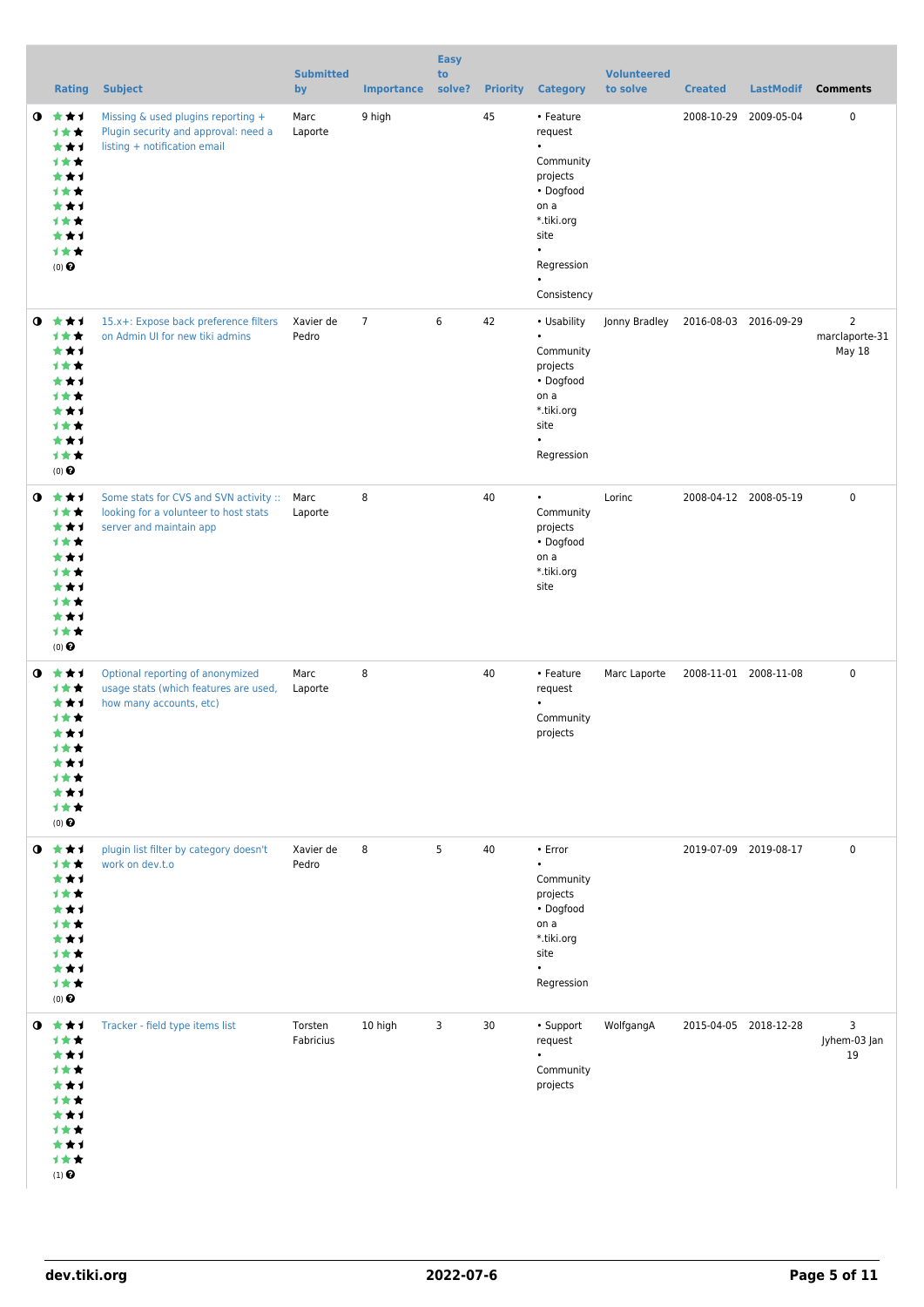|           | <b>Rating</b>                                                                                   | <b>Subject</b>                                                                                                  | <b>Submitted</b><br>by | <b>Importance</b> | <b>Easy</b><br>to<br>solve? |    | <b>Priority Category</b>                                                                                                                                     | <b>Volunteered</b><br>to solve | <b>Created</b> | <b>LastModif</b>      | <b>Comments</b>                            |
|-----------|-------------------------------------------------------------------------------------------------|-----------------------------------------------------------------------------------------------------------------|------------------------|-------------------|-----------------------------|----|--------------------------------------------------------------------------------------------------------------------------------------------------------------|--------------------------------|----------------|-----------------------|--------------------------------------------|
| $\bullet$ | ***<br>计女女<br>***<br>计女女<br>***<br>计女女<br>***<br>计女女<br>***<br>计女女<br>$(0)$ $\odot$             | Missing & used plugins reporting +<br>Plugin security and approval: need a<br>listing + notification email      | Marc<br>Laporte        | 9 high            |                             | 45 | • Feature<br>request<br>$\bullet$<br>Community<br>projects<br>• Dogfood<br>on a<br>*.tiki.org<br>site<br>$\bullet$<br>Regression<br>$\bullet$<br>Consistency |                                |                | 2008-10-29 2009-05-04 | 0                                          |
| $\bullet$ | ***<br>计女女<br>***<br>计女女<br>***<br>计女女<br>★★1<br>1★★<br>***<br>计女女<br>$(0)$ $\odot$             | 15.x+: Expose back preference filters<br>on Admin UI for new tiki admins                                        | Xavier de<br>Pedro     | $\overline{7}$    | 6                           | 42 | • Usability<br>$\bullet$<br>Community<br>projects<br>• Dogfood<br>on a<br>*.tiki.org<br>site<br>$\bullet$<br>Regression                                      | Jonny Bradley                  |                | 2016-08-03 2016-09-29 | $\overline{2}$<br>marclaporte-31<br>May 18 |
| $\bullet$ | ***<br>计女女<br>***<br>计女女<br>***<br><b>1**</b><br>***<br>1★★<br>***<br>计女女<br>$(0)$ $\odot$      | Some stats for CVS and SVN activity :: Marc<br>looking for a volunteer to host stats<br>server and maintain app | Laporte                | 8                 |                             | 40 | $\bullet$<br>Community<br>projects<br>• Dogfood<br>on a<br>*.tiki.org<br>site                                                                                | Lorinc                         |                | 2008-04-12 2008-05-19 | 0                                          |
| $\bullet$ | ***<br>计女女<br>***<br>1 * *<br>***<br>计女女<br>***<br>1★★<br>★★1<br>计女女<br>$(0)$ $\odot$           | Optional reporting of anonymized<br>usage stats (which features are used,<br>how many accounts, etc)            | Marc<br>Laporte        | 8                 |                             | 40 | • Feature<br>request<br>$\bullet$<br>Community<br>projects                                                                                                   | Marc Laporte                   |                | 2008-11-01 2008-11-08 | 0                                          |
| $\bullet$ | ***<br>计女女<br>***<br>计女女<br>***<br>计女女<br>***<br>计女女<br>***<br>计女女<br>$(0)$ $\odot$             | plugin list filter by category doesn't<br>work on dev.t.o                                                       | Xavier de<br>Pedro     | 8                 | 5                           | 40 | • Error<br>$\bullet$<br>Community<br>projects<br>• Dogfood<br>on a<br>*.tiki.org<br>site<br>$\bullet$<br>Regression                                          |                                |                | 2019-07-09 2019-08-17 | $\mathbf 0$                                |
|           | $0$ $*$ $*$ $*$<br>***<br>***<br>计女女<br>***<br>计女女<br>***<br>1★★<br>***<br>计女女<br>$(1)$ $\odot$ | Tracker - field type items list                                                                                 | Torsten<br>Fabricius   | 10 high           | 3                           | 30 | • Support<br>request<br>$\bullet$<br>Community<br>projects                                                                                                   | WolfgangA                      |                | 2015-04-05 2018-12-28 | 3<br>Jyhem-03 Jan<br>19                    |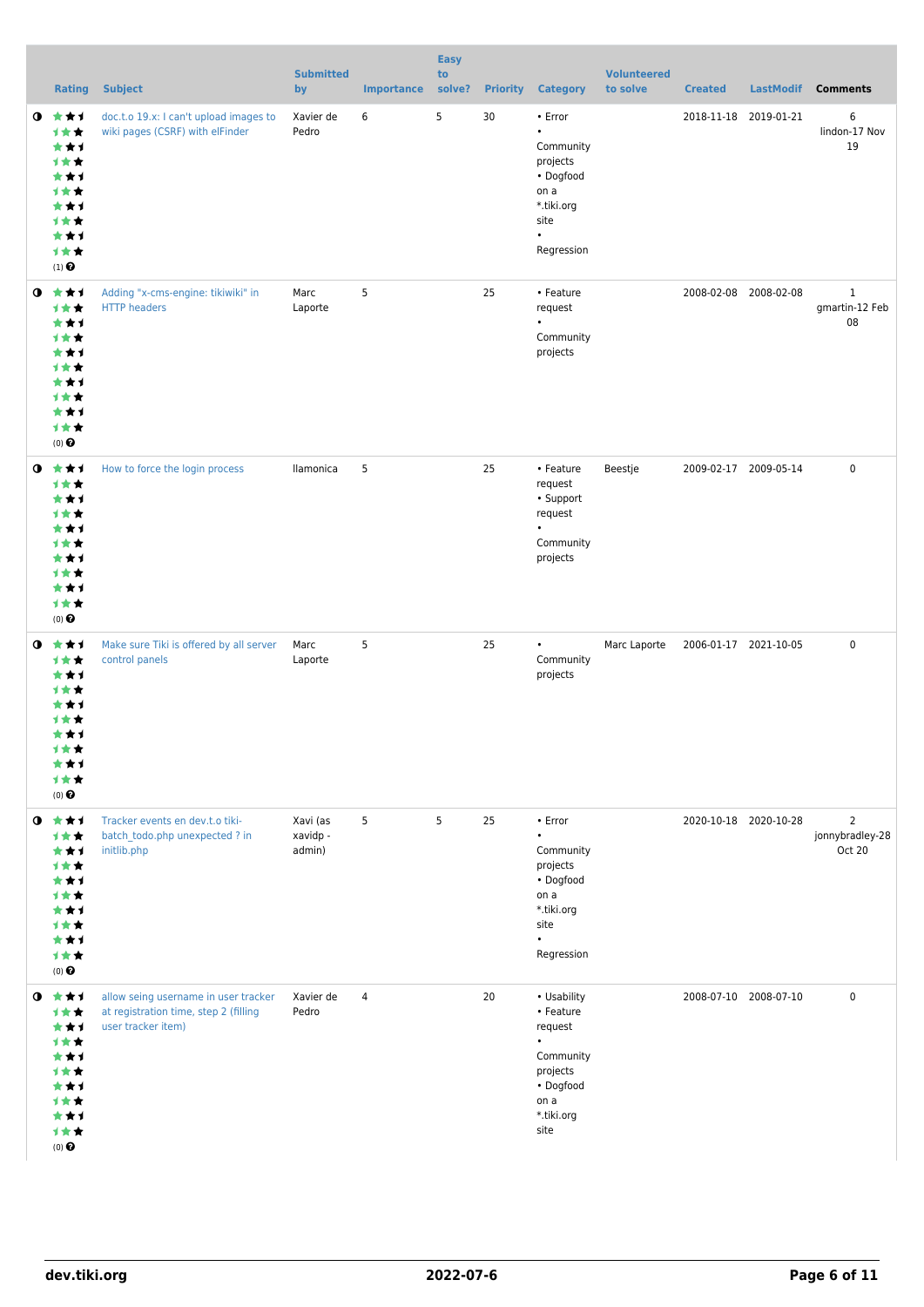|           | Rating                                                                                                    | <b>Subject</b>                                                                                      | <b>Submitted</b><br>by         | <b>Importance</b> | <b>Easy</b><br>to<br>solve? | <b>Priority</b> | <b>Category</b>                                                                                                      | <b>Volunteered</b><br>to solve | <b>Created</b>        | <b>LastModif</b>      | <b>Comments</b>                             |
|-----------|-----------------------------------------------------------------------------------------------------------|-----------------------------------------------------------------------------------------------------|--------------------------------|-------------------|-----------------------------|-----------------|----------------------------------------------------------------------------------------------------------------------|--------------------------------|-----------------------|-----------------------|---------------------------------------------|
| $\bullet$ | 食食す<br>计女女<br>***<br>计女女<br>***<br>计女女<br>***<br>计女女<br>***<br>计女女<br>$(1)$ <sup><math>\odot</math></sup> | doc.t.o 19.x: I can't upload images to<br>wiki pages (CSRF) with elFinder                           | Xavier de<br>Pedro             | 6                 | 5                           | 30              | • Error<br>$\bullet$<br>Community<br>projects<br>• Dogfood<br>on a<br>*.tiki.org<br>site<br>$\bullet$<br>Regression  |                                | 2018-11-18 2019-01-21 |                       | 6<br>lindon-17 Nov<br>19                    |
|           | $0 \star \star \star$<br>1★★<br>***<br>计女女<br>***<br>计女女<br>***<br>计女女<br>***<br>计女女<br>$(0)$ $\odot$     | Adding "x-cms-engine: tikiwiki" in<br><b>HTTP</b> headers                                           | Marc<br>Laporte                | 5                 |                             | 25              | • Feature<br>request<br>$\bullet$<br>Community<br>projects                                                           |                                |                       | 2008-02-08 2008-02-08 | $\mathbf{1}$<br>gmartin-12 Feb<br>08        |
| $\bullet$ | 大大才<br>计女女<br>***<br>计女女<br>***<br>计女女<br>***<br>计女女<br>***<br>计女女<br>$(0)$ <sup>O</sup>                  | How to force the login process                                                                      | llamonica                      | 5                 |                             | 25              | • Feature<br>request<br>• Support<br>request<br>$\bullet$<br>Community<br>projects                                   | Beestje                        |                       | 2009-02-17 2009-05-14 | $\mathbf 0$                                 |
| $\bullet$ | 大女子<br>计女女<br>***<br><b>1**</b><br>★★1<br>1 * *<br>***<br>计女女<br>***<br>计女女<br>$(0)$ <sup>O</sup>         | Make sure Tiki is offered by all server<br>control panels                                           | Marc<br>Laporte                | 5                 |                             | 25              | $\bullet$<br>Community<br>projects                                                                                   | Marc Laporte                   | 2006-01-17 2021-10-05 |                       | $\mathbf 0$                                 |
| $\bullet$ | 大女子<br>计女女<br>***<br>计女女<br>***<br>计女女<br>***<br>计女女<br>***<br>计女女<br>$(0)$ $\odot$                       | Tracker events en dev.t.o tiki-<br>batch todo.php unexpected ? in<br>initlib.php                    | Xavi (as<br>xavidp -<br>admin) | 5                 | 5                           | 25              | • Error<br>$\bullet$<br>Community<br>projects<br>• Dogfood<br>on a<br>*.tiki.org<br>site<br>$\bullet$<br>Regression  |                                |                       | 2020-10-18 2020-10-28 | $\overline{2}$<br>jonnybradley-28<br>Oct 20 |
| $\bullet$ | ***<br>***<br>***<br>计女女<br>***<br><b>1**</b><br>***<br><b>1**</b><br>***<br>计女女<br>$(0)$ <sup>O</sup>    | allow seing username in user tracker<br>at registration time, step 2 (filling<br>user tracker item) | Xavier de<br>Pedro             | $\overline{4}$    |                             | 20              | • Usability<br>• Feature<br>request<br>$\bullet$<br>Community<br>projects<br>• Dogfood<br>on a<br>*.tiki.org<br>site |                                |                       | 2008-07-10 2008-07-10 | 0                                           |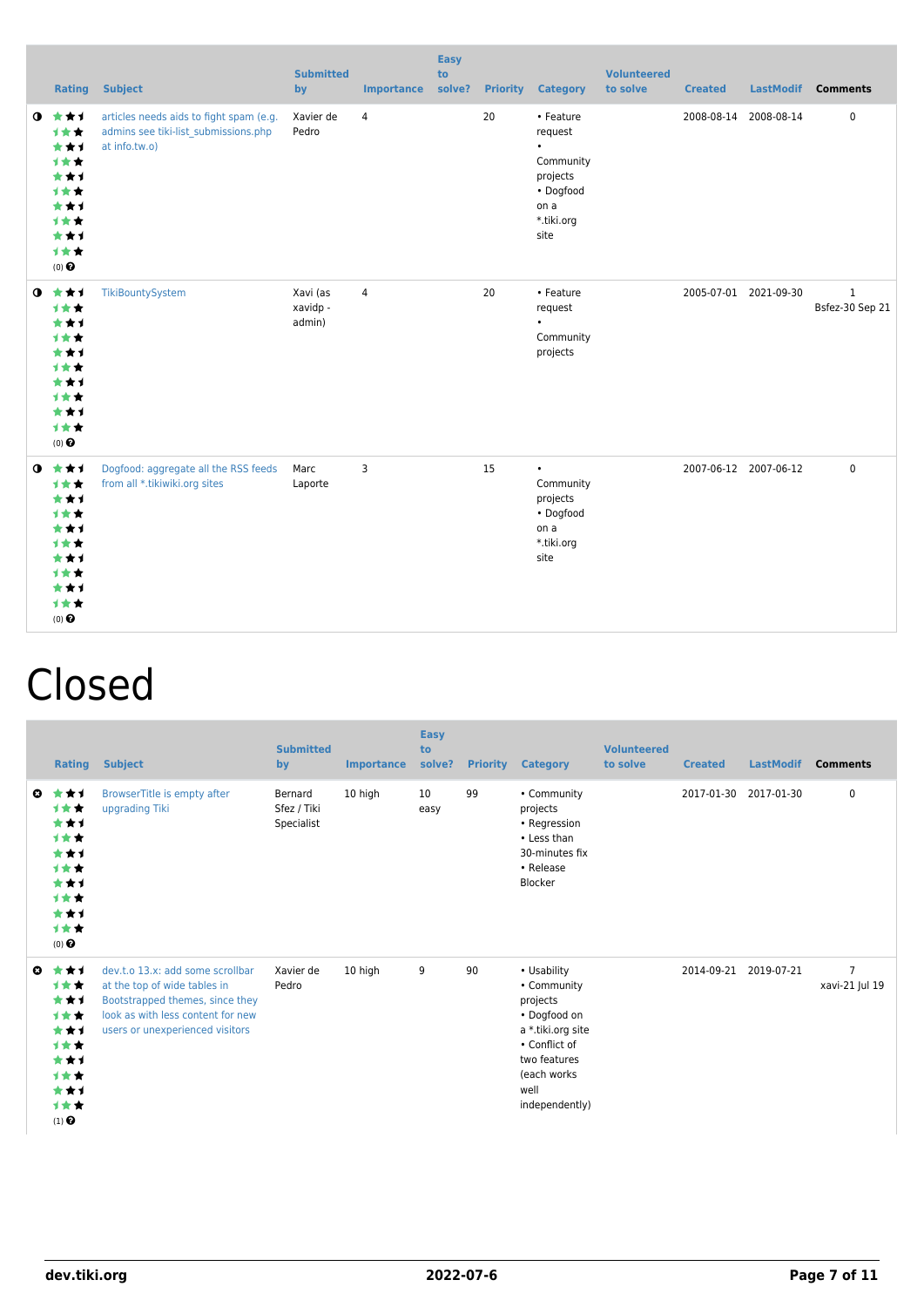|           |                                                                                                  | <b>Rating Subject</b>                                                                            | <b>Submitted</b><br>by         | <b>Importance</b> | <b>Easy</b><br>to<br>solve? |    | <b>Priority Category</b>                                                                              | <b>Volunteered</b><br>to solve | <b>Created</b> |                       | LastModif Comments              |
|-----------|--------------------------------------------------------------------------------------------------|--------------------------------------------------------------------------------------------------|--------------------------------|-------------------|-----------------------------|----|-------------------------------------------------------------------------------------------------------|--------------------------------|----------------|-----------------------|---------------------------------|
| $\bullet$ | ***<br>***<br>***<br>***<br>***<br>***<br>***<br>***<br>***<br>1★★<br>$(0)$ $\Theta$             | articles needs aids to fight spam (e.g.<br>admins see tiki-list submissions.php<br>at info.tw.o) | Xavier de<br>Pedro             | $\overline{4}$    |                             | 20 | • Feature<br>request<br>$\bullet$<br>Community<br>projects<br>• Dogfood<br>on a<br>*.tiki.org<br>site |                                |                | 2008-08-14 2008-08-14 | $\pmb{0}$                       |
|           | $0$ $*$ $*$ $*$<br>***<br>***<br>***<br>***<br>***<br>***<br>***<br>***<br>1★★<br>$(0)$ $\Theta$ | TikiBountySystem                                                                                 | Xavi (as<br>xavidp -<br>admin) | $\overline{4}$    |                             | 20 | • Feature<br>request<br>$\bullet$<br>Community<br>projects                                            |                                |                | 2005-07-01 2021-09-30 | $\mathbf{1}$<br>Bsfez-30 Sep 21 |
|           | $0$ $*$ $*$ $*$<br>1★★<br>***<br>1★★<br>***<br>***<br>***<br>1★★<br>***<br>计女女<br>$(0)$ $\odot$  | Dogfood: aggregate all the RSS feeds<br>from all *.tikiwiki.org sites                            | Marc<br>Laporte                | 3                 |                             | 15 | $\bullet$<br>Community<br>projects<br>• Dogfood<br>on a<br>*.tiki.org<br>site                         |                                |                | 2007-06-12 2007-06-12 | $\mathbf 0$                     |

## Closed

|    | <b>Rating</b>                                                                       | <b>Subject</b>                                                                                                                                                              | <b>Submitted</b><br>by               | <b>Importance</b> | <b>Easy</b><br>to<br>solve? | <b>Priority</b> | <b>Category</b>                                                                                                                                       | <b>Volunteered</b><br>to solve | <b>Created</b> | <b>LastModif</b> | <b>Comments</b>                  |
|----|-------------------------------------------------------------------------------------|-----------------------------------------------------------------------------------------------------------------------------------------------------------------------------|--------------------------------------|-------------------|-----------------------------|-----------------|-------------------------------------------------------------------------------------------------------------------------------------------------------|--------------------------------|----------------|------------------|----------------------------------|
| o. | ***<br>计女女<br>***<br>***<br>***<br>***<br>***<br>***<br>***<br>计女女<br>$(0)$ $\odot$ | BrowserTitle is empty after<br>upgrading Tiki                                                                                                                               | Bernard<br>Sfez / Tiki<br>Specialist | 10 high           | 10<br>easy                  | 99              | • Community<br>projects<br>• Regression<br>• Less than<br>30-minutes fix<br>• Release<br>Blocker                                                      |                                | 2017-01-30     | 2017-01-30       | 0                                |
| O  | ***<br>***<br>***<br>***<br>***<br>计女女<br>***<br>***<br>***<br>计女女<br>$(1)$ $\odot$ | dev.t.o 13.x: add some scrollbar<br>at the top of wide tables in<br>Bootstrapped themes, since they<br>look as with less content for new<br>users or unexperienced visitors | Xavier de<br>Pedro                   | 10 high           | 9                           | 90              | • Usability<br>• Community<br>projects<br>• Dogfood on<br>a *.tiki.org site<br>• Conflict of<br>two features<br>(each works<br>well<br>independently) |                                | 2014-09-21     | 2019-07-21       | $\overline{7}$<br>xavi-21 Jul 19 |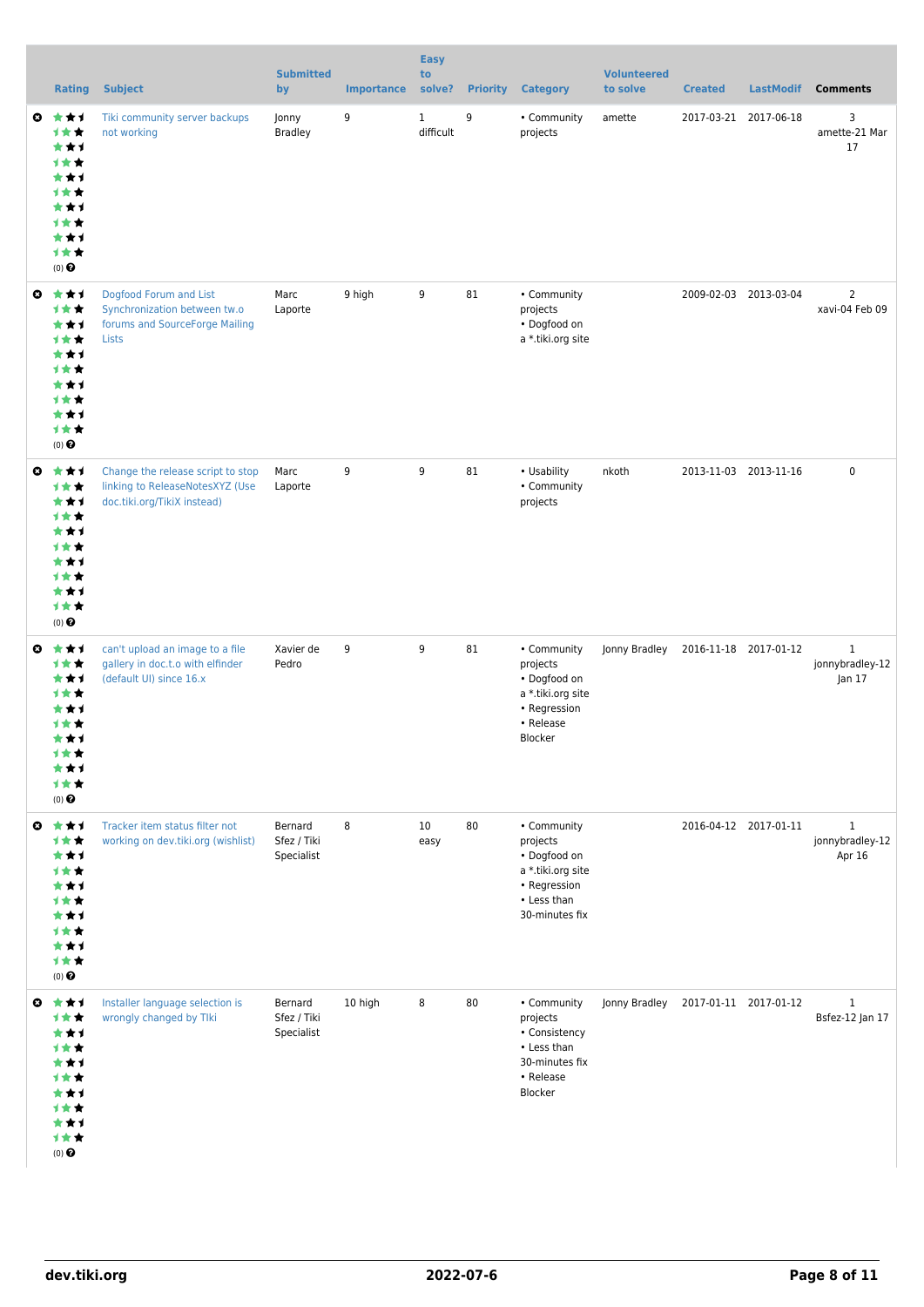|                       | <b>Rating</b>                                                                                       | <b>Subject</b>                                                                                      | <b>Submitted</b><br>by               | <b>Importance</b> | <b>Easy</b><br>to<br>solve? |    | <b>Priority Category</b>                                                                                      | <b>Volunteered</b><br>to solve      | <b>Created</b> | <b>LastModif</b>      | <b>Comments</b>                           |
|-----------------------|-----------------------------------------------------------------------------------------------------|-----------------------------------------------------------------------------------------------------|--------------------------------------|-------------------|-----------------------------|----|---------------------------------------------------------------------------------------------------------------|-------------------------------------|----------------|-----------------------|-------------------------------------------|
| ◒                     | ***<br>计女女<br>***<br>计女女<br>***<br>计女女<br>***<br>计女女<br>***<br>计女女<br>$(0)$ $\Theta$                | Tiki community server backups<br>not working                                                        | Jonny<br><b>Bradley</b>              | 9                 | $\mathbf{1}$<br>difficult   | 9  | • Community<br>projects                                                                                       | amette                              |                | 2017-03-21 2017-06-18 | 3<br>amette-21 Mar<br>17                  |
| ◒                     | ***<br>计女女<br>***<br>计女女<br>***<br>计女女<br>***<br>计女女<br>***<br>计女女<br>(0)                           | Dogfood Forum and List<br>Synchronization between tw.o<br>forums and SourceForge Mailing<br>Lists   | Marc<br>Laporte                      | 9 high            | 9                           | 81 | • Community<br>projects<br>• Dogfood on<br>a *.tiki.org site                                                  |                                     |                | 2009-02-03 2013-03-04 | $\overline{2}$<br>xavi-04 Feb 09          |
| ◒                     | ***<br>***<br>***<br>计女女<br>***<br><b>1★★</b><br>***<br>计女女<br>***<br>计女女<br>$(0)$ $\odot$          | Change the release script to stop<br>linking to ReleaseNotesXYZ (Use<br>doc.tiki.org/TikiX instead) | Marc<br>Laporte                      | 9                 | 9                           | 81 | • Usability<br>• Community<br>projects                                                                        | nkoth                               |                | 2013-11-03 2013-11-16 | $\pmb{0}$                                 |
| $\boldsymbol{\omega}$ | ***<br>计女女<br>***<br>计女女<br>***<br>计女女<br>***<br>计女女<br>★★1<br>计女女<br>$(0)$ $\odot$                 | can't upload an image to a file<br>gallery in doc.t.o with elfinder<br>(default UI) since 16.x      | Xavier de<br>Pedro                   | 9                 | 9                           | 81 | • Community<br>projects<br>• Dogfood on<br>a *.tiki.org site<br>• Regression<br>• Release<br>Blocker          | Jonny Bradley                       |                | 2016-11-18 2017-01-12 | $\mathbf{1}$<br>jonnybradley-12<br>Jan 17 |
| $\boldsymbol{\omega}$ | ***<br>计女女<br>***<br>计女女<br>***<br>计女女<br>***<br>计女女<br>***<br>计女女<br>(0)                           | Tracker item status filter not<br>working on dev.tiki.org (wishlist)                                | Bernard<br>Sfez / Tiki<br>Specialist | 8                 | 10<br>easy                  | 80 | • Community<br>projects<br>• Dogfood on<br>a *.tiki.org site<br>• Regression<br>• Less than<br>30-minutes fix |                                     |                | 2016-04-12 2017-01-11 | $\mathbf{1}$<br>jonnybradley-12<br>Apr 16 |
|                       | ◎ ★★1<br>计女女<br>***<br>计女女<br>***<br><b>1★★</b><br>***<br><b>1★★</b><br>***<br>计女女<br>$(0)$ $\odot$ | Installer language selection is<br>wrongly changed by Tlki                                          | Bernard<br>Sfez / Tiki<br>Specialist | 10 high           | 8                           | 80 | • Community<br>projects<br>• Consistency<br>• Less than<br>30-minutes fix<br>• Release<br>Blocker             | Jonny Bradley 2017-01-11 2017-01-12 |                |                       | $\mathbf{1}$<br>Bsfez-12 Jan 17           |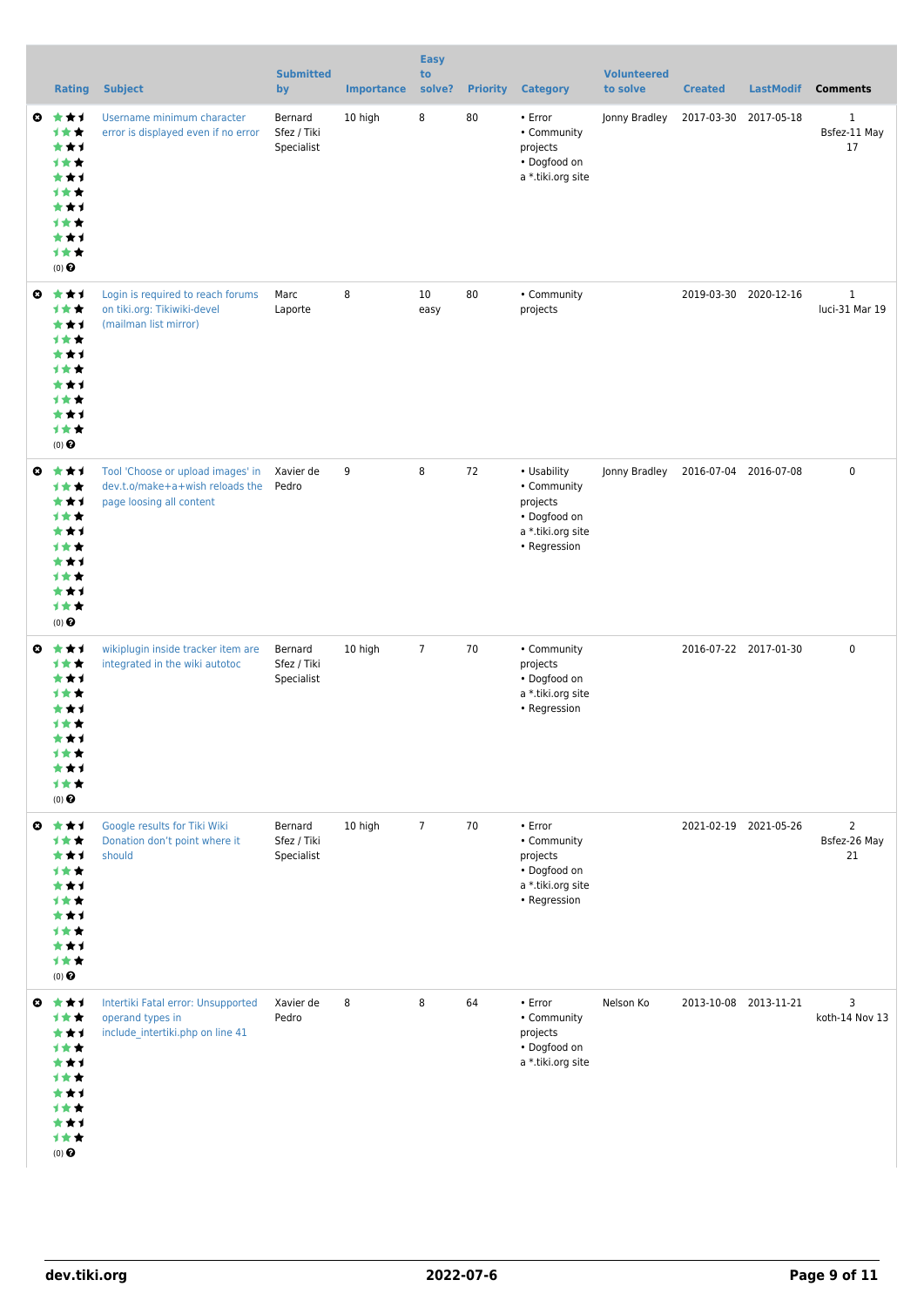|                       | <b>Rating</b>                                                                                     | <b>Subject</b>                                                                                   | <b>Submitted</b><br>by               | <b>Importance</b> | <b>Easy</b><br>to<br>solve? | <b>Priority</b> | <b>Category</b>                                                                               | <b>Volunteered</b><br>to solve | <b>Created</b>        | <b>LastModif</b>      | <b>Comments</b>                      |
|-----------------------|---------------------------------------------------------------------------------------------------|--------------------------------------------------------------------------------------------------|--------------------------------------|-------------------|-----------------------------|-----------------|-----------------------------------------------------------------------------------------------|--------------------------------|-----------------------|-----------------------|--------------------------------------|
| o.                    | 大大才<br>计女女<br>***<br>计女女<br>***<br>计女女<br>***<br>计女女<br>***<br>计女女<br>(0)                         | Username minimum character<br>error is displayed even if no error                                | Bernard<br>Sfez / Tiki<br>Specialist | 10 high           | 8                           | 80              | • Error<br>• Community<br>projects<br>• Dogfood on<br>a *.tiki.org site                       | Jonny Bradley                  | 2017-03-30            | 2017-05-18            | $\mathbf{1}$<br>Bsfez-11 May<br>17   |
| $\boldsymbol{\omega}$ | ***<br>***<br>***<br>计女女<br>***<br>计女女<br>***<br>计女女<br>***<br>计女女<br>(0)                         | Login is required to reach forums<br>on tiki.org: Tikiwiki-devel<br>(mailman list mirror)        | Marc<br>Laporte                      | 8                 | 10<br>easy                  | 80              | • Community<br>projects                                                                       |                                |                       | 2019-03-30 2020-12-16 | $\mathbf{1}$<br>luci-31 Mar 19       |
| $\boldsymbol{\omega}$ | ***<br>计女女<br>***<br>计女女<br>***<br><b>1★★</b><br>***<br><b>1★★</b><br>***<br>计女女<br>(0)           | Tool 'Choose or upload images' in<br>dev.t.o/make+a+wish reloads the<br>page loosing all content | Xavier de<br>Pedro                   | 9                 | 8                           | 72              | • Usability<br>• Community<br>projects<br>• Dogfood on<br>a *.tiki.org site<br>• Regression   | Jonny Bradley                  | 2016-07-04 2016-07-08 |                       | $\mathbf 0$                          |
| ◎                     | ***<br>计女女<br>***<br>计女女<br>***<br>计女女<br>***<br>计女女<br>★★1<br>计女女<br>$(0)$ $\pmb{\Theta}$        | wikiplugin inside tracker item are<br>integrated in the wiki autotoc                             | Bernard<br>Sfez / Tiki<br>Specialist | 10 high           | $\overline{7}$              | 70              | • Community<br>projects<br>• Dogfood on<br>a *.tiki.org site<br>• Regression                  |                                |                       | 2016-07-22 2017-01-30 | $\mathbf 0$                          |
| $\boldsymbol{\omega}$ | ***<br>计女女<br>***<br><b>1★★</b><br>***<br><b>1★★</b><br>***<br>计女女<br>***<br>计女女<br>$(0)$ $\odot$ | Google results for Tiki Wiki<br>Donation don't point where it<br>should                          | Bernard<br>Sfez / Tiki<br>Specialist | 10 high           | $\overline{7}$              | 70              | $\cdot$ Error<br>• Community<br>projects<br>• Dogfood on<br>a *.tiki.org site<br>• Regression |                                | 2021-02-19 2021-05-26 |                       | $\overline{2}$<br>Bsfez-26 May<br>21 |
|                       | ◎ ★★1<br>计女女<br>***<br>计女女<br>***<br>计女女<br>***<br>计女女<br>***<br>计女女<br>$(0)$ $\odot$             | Intertiki Fatal error: Unsupported<br>operand types in<br>include_intertiki.php on line 41       | Xavier de<br>Pedro                   | 8                 | 8                           | 64              | • Error<br>• Community<br>projects<br>• Dogfood on<br>a *.tiki.org site                       | Nelson Ko                      |                       | 2013-10-08 2013-11-21 | 3<br>koth-14 Nov 13                  |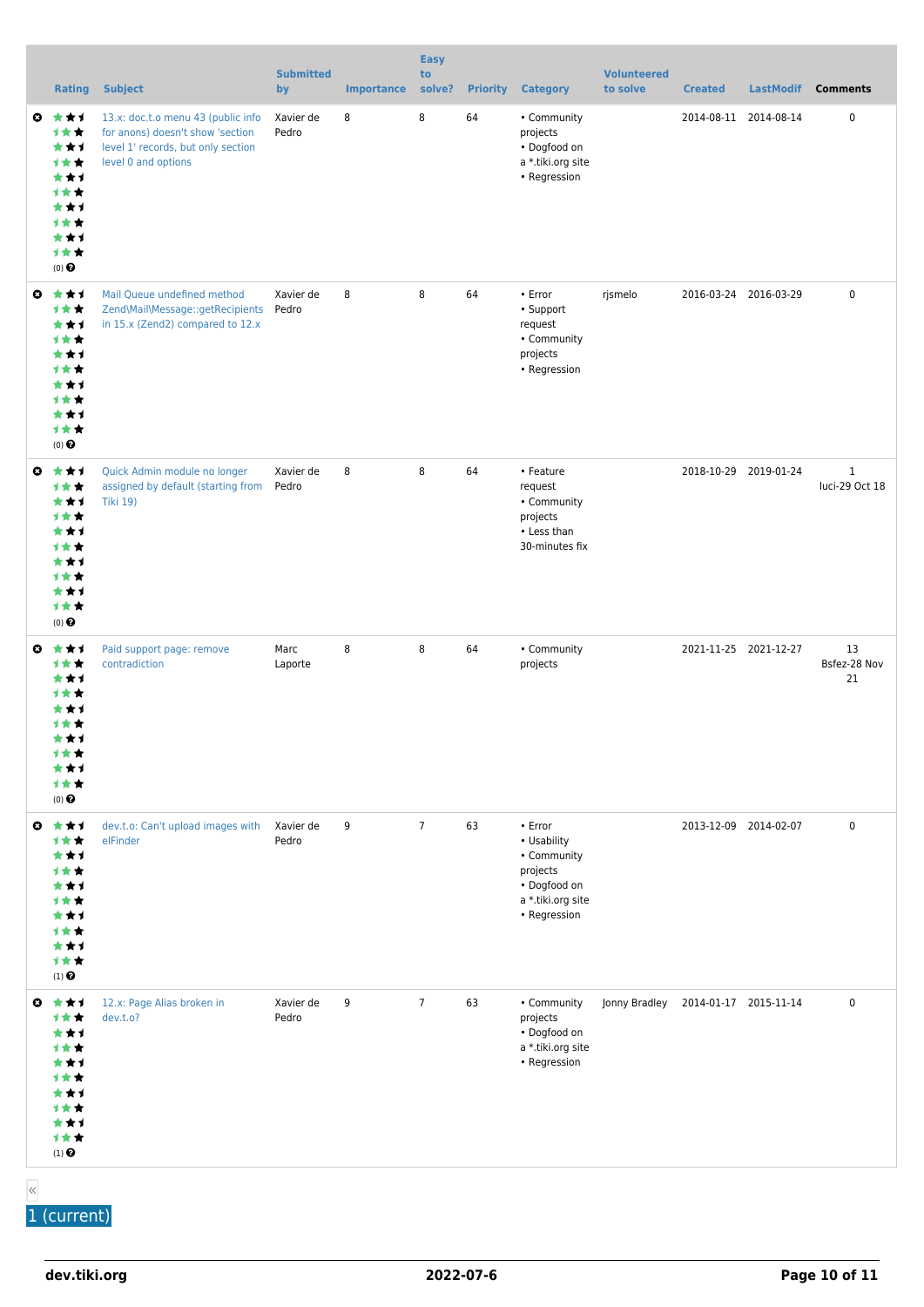|                       | <b>Rating</b>                                                                                             | <b>Subject</b>                                                                                                                      | <b>Submitted</b><br>by | <b>Importance</b> | <b>Easy</b><br>to<br>solve? | <b>Priority</b> | <b>Category</b>                                                                                        | <b>Volunteered</b><br>to solve | <b>Created</b>        | <b>LastModif</b> | <b>Comments</b>                |
|-----------------------|-----------------------------------------------------------------------------------------------------------|-------------------------------------------------------------------------------------------------------------------------------------|------------------------|-------------------|-----------------------------|-----------------|--------------------------------------------------------------------------------------------------------|--------------------------------|-----------------------|------------------|--------------------------------|
| ◒                     | 大大才<br>计女女<br>***<br>计女女<br>***<br>计女女<br>***<br>计女女<br>***<br>计女女<br>$(0)$ $\Theta$                      | 13.x: doc.t.o menu 43 (public info<br>for anons) doesn't show 'section<br>level 1' records, but only section<br>level 0 and options | Xavier de<br>Pedro     | 8                 | 8                           | 64              | • Community<br>projects<br>• Dogfood on<br>a *.tiki.org site<br>• Regression                           |                                | 2014-08-11 2014-08-14 |                  | 0                              |
| ◒                     | ***<br>***<br>***<br>计女女<br>***<br>计女女<br>***<br>计女女<br>***<br>计女女<br>(0)                                 | Mail Queue undefined method<br>Zend\Mail\Message::getRecipients<br>in 15.x (Zend2) compared to 12.x                                 | Xavier de<br>Pedro     | 8                 | 8                           | 64              | • Error<br>• Support<br>request<br>• Community<br>projects<br>• Regression                             | rjsmelo                        | 2016-03-24 2016-03-29 |                  | $\pmb{0}$                      |
| ◒                     | 大大才<br>***<br>***<br>计女女<br>***<br><b>1★★</b><br>***<br>计女女<br>***<br>计女女<br>$(0)$ $\Theta$               | Quick Admin module no longer<br>assigned by default (starting from<br><b>Tiki 19)</b>                                               | Xavier de<br>Pedro     | 8                 | 8                           | 64              | • Feature<br>request<br>• Community<br>projects<br>• Less than<br>30-minutes fix                       |                                | 2018-10-29 2019-01-24 |                  | $\mathbf{1}$<br>luci-29 Oct 18 |
| o.                    | 大大才<br>计女女<br>***<br><b>1★★</b><br>★★1<br>计女女<br>***<br>计女女<br>★★1<br>1★★<br>$(0)$ $\Theta$               | Paid support page: remove<br>contradiction                                                                                          | Marc<br>Laporte        | 8                 | 8                           | 64              | • Community<br>projects                                                                                |                                | 2021-11-25 2021-12-27 |                  | 13<br>Bsfez-28 Nov<br>21       |
| $\boldsymbol{\omega}$ | ***<br>***<br>***<br>计女女<br>***<br>计女女<br>***<br>计女女<br>***<br>计女女<br>$(1)$ <sup><math>\odot</math></sup> | dev.t.o: Can't upload images with<br>elFinder                                                                                       | Xavier de<br>Pedro     | 9                 | $\overline{7}$              | 63              | • Error<br>• Usability<br>• Community<br>projects<br>• Dogfood on<br>a *.tiki.org site<br>• Regression |                                | 2013-12-09 2014-02-07 |                  | $\pmb{0}$                      |
|                       | ◎ ★★1<br>计女女<br>***<br>计女女<br>***<br><b>1★★</b><br>***<br>计女女<br>***<br>计女女<br>$(1)$ $\odot$              | 12.x: Page Alias broken in<br>dev.t.o?                                                                                              | Xavier de<br>Pedro     | 9                 | $\overline{7}$              | 63              | • Community<br>projects<br>• Dogfood on<br>a *.tiki.org site<br>• Regression                           | Jonny Bradley                  | 2014-01-17 2015-11-14 |                  | 0                              |

«

1 (current)